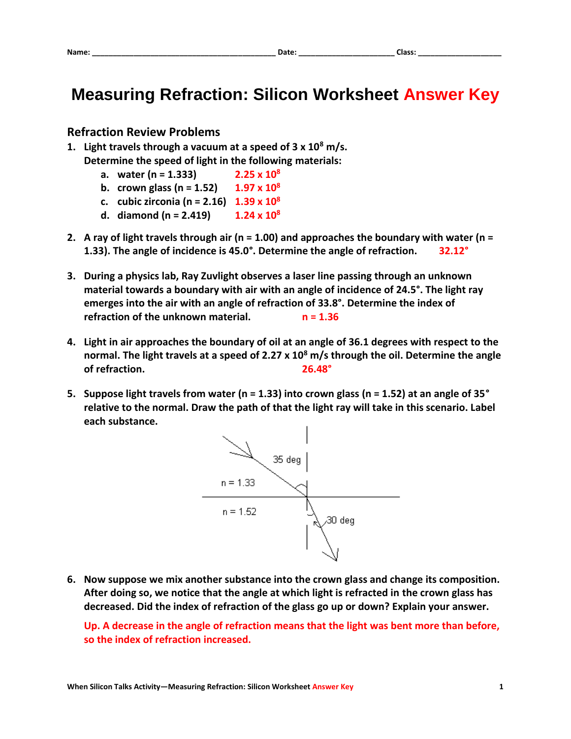## **Measuring Refraction: Silicon Worksheet Answer Key**

## **Refraction Review Problems**

- **1. Light travels through a vacuum at a speed of 3 x 10<sup>8</sup> m/s. Determine the speed of light in the following materials:**
	- **a. water (n = 1.333) 2.25 x 10<sup>8</sup>**
	- **b. crown glass (n = 1.52) 1.97 x 10<sup>8</sup>**
	- **c. cubic zirconia (n = 2.16) 1.39 x 10<sup>8</sup>**
	- **d. diamond (n = 2.419) 1.24 x 10<sup>8</sup>**
- **2. A ray of light travels through air (n = 1.00) and approaches the boundary with water (n = 1.33). The angle of incidence is 45.0°. Determine the angle of refraction. 32.12°**
- **3. During a physics lab, Ray Zuvlight observes a laser line passing through an unknown material towards a boundary with air with an angle of incidence of 24.5°. The light ray emerges into the air with an angle of refraction of 33.8°. Determine the index of refraction of the unknown material. n = 1.36**
- **4. Light in air approaches the boundary of oil at an angle of 36.1 degrees with respect to the normal. The light travels at a speed of 2.27 x 10<sup>8</sup> m/s through the oil. Determine the angle of refraction. 26.48°**
- **5. Suppose light travels from water (n = 1.33) into crown glass (n = 1.52) at an angle of 35° relative to the normal. Draw the path of that the light ray will take in this scenario. Label each substance.**



**6. Now suppose we mix another substance into the crown glass and change its composition. After doing so, we notice that the angle at which light is refracted in the crown glass has decreased. Did the index of refraction of the glass go up or down? Explain your answer.**

**Up. A decrease in the angle of refraction means that the light was bent more than before, so the index of refraction increased.**